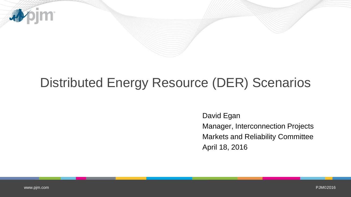

# Distributed Energy Resource (DER) Scenarios

David Egan Manager, Interconnection Projects Markets and Reliability Committee April 18, 2016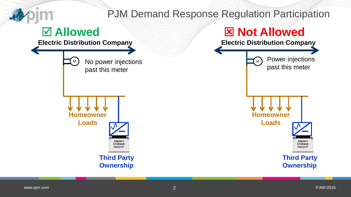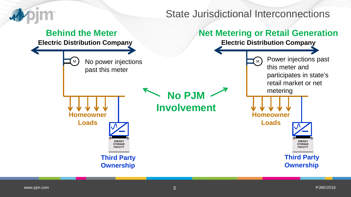

**Homeowner**

**Loads**

#### State Jurisdictional Interconnections

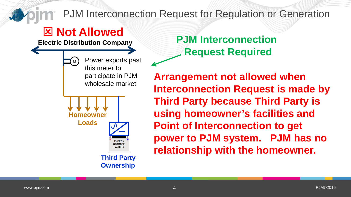PJM Interconnection Request for Regulation or Generation

## **Not Allowed**

**Electric Distribution Company**

Power exports past M this meter to participate in PJM wholesale market **Homeowner Loads ENERGY STORAGE FACILITY** 

> **Third Party Ownership**

**PJM Interconnection Request Required**

**Arrangement not allowed when Interconnection Request is made by Third Party because Third Party is using homeowner's facilities and Point of Interconnection to get power to PJM system. PJM has no relationship with the homeowner.**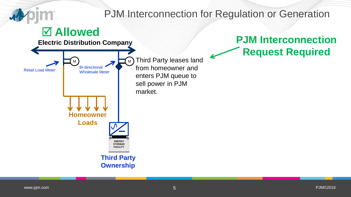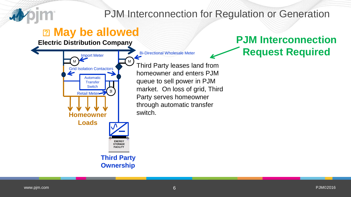

### PJM Interconnection for Regulation or Generation

### **2 May be allowed**

Automatic **Transfer Switch** 

Retail Meter

⋝

Grid Isolation Contactors

**Electric Distribution Company**

**Homeowner**

**Loads**

M

Import Meter Bi-Directional Wholesale Meter

Third Party leases land from homeowner and enters PJM queue to sell power in PJM market. On loss of grid, Third Party serves homeowner through automatic transfer switch.

**PJM Interconnection Request Required**

**Third Party Ownership**

**ENERGY STORAGE FACILITY** 

M